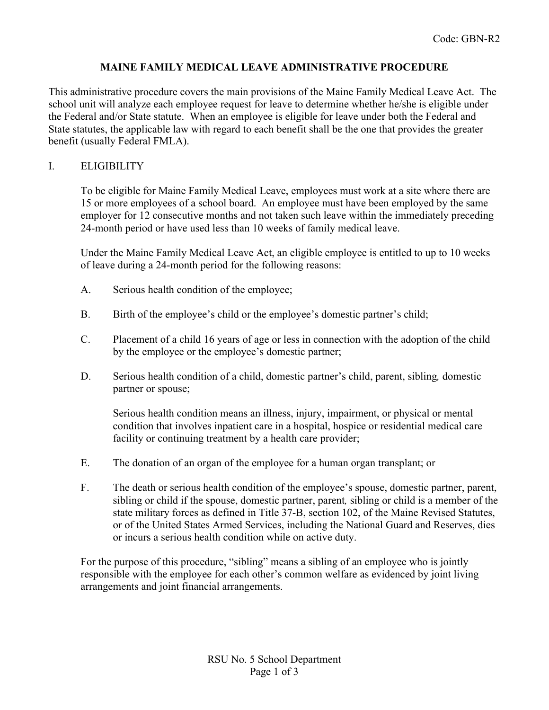# **MAINE FAMILY MEDICAL LEAVE ADMINISTRATIVE PROCEDURE**

This administrative procedure covers the main provisions of the Maine Family Medical Leave Act. The school unit will analyze each employee request for leave to determine whether he/she is eligible under the Federal and/or State statute. When an employee is eligible for leave under both the Federal and State statutes, the applicable law with regard to each benefit shall be the one that provides the greater benefit (usually Federal FMLA).

# I. ELIGIBILITY

To be eligible for Maine Family Medical Leave, employees must work at a site where there are 15 or more employees of a school board. An employee must have been employed by the same employer for 12 consecutive months and not taken such leave within the immediately preceding 24-month period or have used less than 10 weeks of family medical leave.

Under the Maine Family Medical Leave Act, an eligible employee is entitled to up to 10 weeks of leave during a 24-month period for the following reasons:

- A. Serious health condition of the employee;
- B. Birth of the employee's child or the employee's domestic partner's child;
- C. Placement of a child 16 years of age or less in connection with the adoption of the child by the employee or the employee's domestic partner;
- D. Serious health condition of a child, domestic partner's child, parent, sibling*,* domestic partner or spouse;

Serious health condition means an illness, injury, impairment, or physical or mental condition that involves inpatient care in a hospital, hospice or residential medical care facility or continuing treatment by a health care provider;

- E. The donation of an organ of the employee for a human organ transplant; or
- F. The death or serious health condition of the employee's spouse, domestic partner, parent, sibling or child if the spouse, domestic partner, parent*,* sibling or child is a member of the state military forces as defined in Title 37-B, section 102, of the Maine Revised Statutes, or of the United States Armed Services, including the National Guard and Reserves, dies or incurs a serious health condition while on active duty.

For the purpose of this procedure, "sibling" means a sibling of an employee who is jointly responsible with the employee for each other's common welfare as evidenced by joint living arrangements and joint financial arrangements.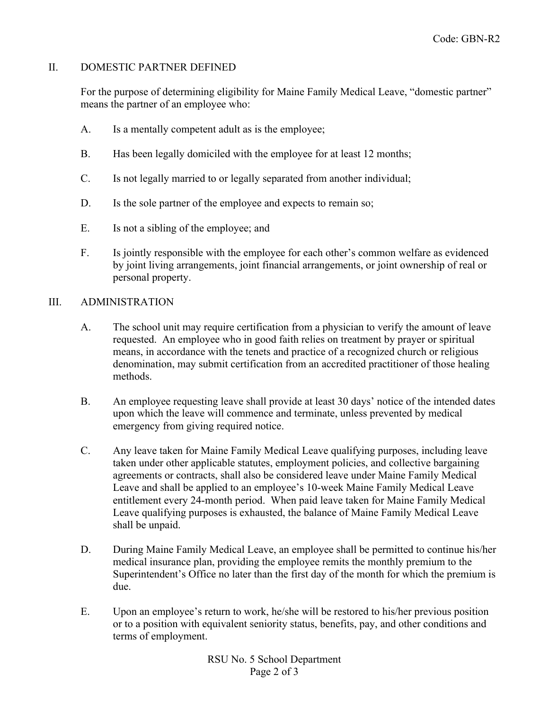# II. DOMESTIC PARTNER DEFINED

For the purpose of determining eligibility for Maine Family Medical Leave, "domestic partner" means the partner of an employee who:

- A. Is a mentally competent adult as is the employee;
- B. Has been legally domiciled with the employee for at least 12 months;
- C. Is not legally married to or legally separated from another individual;
- D. Is the sole partner of the employee and expects to remain so;
- E. Is not a sibling of the employee; and
- F. Is jointly responsible with the employee for each other's common welfare as evidenced by joint living arrangements, joint financial arrangements, or joint ownership of real or personal property.

#### III. ADMINISTRATION

- A. The school unit may require certification from a physician to verify the amount of leave requested. An employee who in good faith relies on treatment by prayer or spiritual means, in accordance with the tenets and practice of a recognized church or religious denomination, may submit certification from an accredited practitioner of those healing methods.
- B. An employee requesting leave shall provide at least 30 days' notice of the intended dates upon which the leave will commence and terminate, unless prevented by medical emergency from giving required notice.
- C. Any leave taken for Maine Family Medical Leave qualifying purposes, including leave taken under other applicable statutes, employment policies, and collective bargaining agreements or contracts, shall also be considered leave under Maine Family Medical Leave and shall be applied to an employee's 10-week Maine Family Medical Leave entitlement every 24-month period. When paid leave taken for Maine Family Medical Leave qualifying purposes is exhausted, the balance of Maine Family Medical Leave shall be unpaid.
- D. During Maine Family Medical Leave, an employee shall be permitted to continue his/her medical insurance plan, providing the employee remits the monthly premium to the Superintendent's Office no later than the first day of the month for which the premium is due.
- E. Upon an employee's return to work, he/she will be restored to his/her previous position or to a position with equivalent seniority status, benefits, pay, and other conditions and terms of employment.

RSU No. 5 School Department Page 2 of 3